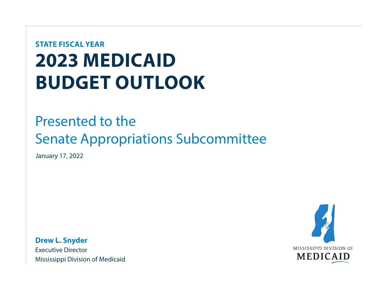# **2023 MEDICAID BUDGET OUTLOOK STATE FISCAL YEAR**

### Presented to the Senate Appropriations Subcommittee

January 17, 2022

**Drew L. Snyder**  Executive Director Mississippi Division of Medicaid

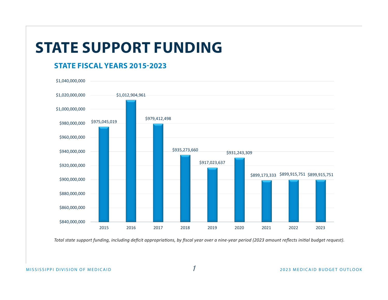## **STATE SUPPORT FUNDING**

#### **STATE FISCAL YEARS 2015-2023**



*Total state support funding, including deficit appropriations, by fiscal year over a nine-year period (2023 amount reflects initial budget request).*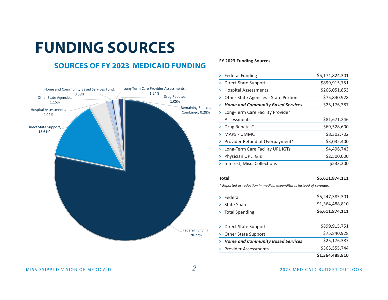

#### **FY 2023 Funding Sources**

|   | <b>Federal Funding</b>                   | \$5,174,824,301 |
|---|------------------------------------------|-----------------|
| > | Direct State Support                     | \$899,915,751   |
| > | <b>Hospital Assessments</b>              | \$266,051,853   |
| > | Other State Agencies - State Portion     | \$75,840,928    |
|   | <b>Home and Community Based Services</b> | \$25,176,387    |
|   | Long-Term Care Facility Provider         |                 |
|   | Assessments                              | \$81,671,246    |
|   | Drug Rebates*                            | \$69,528,600    |
|   | MAPS - UMMC                              | \$8,302,702     |
|   | Provider Refund of Overpayment*          | \$3,032,400     |
|   | Long-Term Care Facility UPL IGTs         | \$4,496,743     |
|   | Physician UPL IGTs                       | \$2,500,000     |
|   | Interest, Misc. Collections              | \$533,200       |

#### **Total**

#### **\$6,611,874,111**

*\* Reported as reduction in medical expenditures instead of revenue.* 

|                                          | \$1,364,488,810 |
|------------------------------------------|-----------------|
| <b>Provider Assessments</b>              | \$363,555,744   |
| <b>Home and Community Based Services</b> | \$25,176,387    |
| <b>Other State Support</b>               | \$75,840,928    |
| Direct State Support                     | \$899,915,751   |
| <b>Total Spending</b>                    | \$6,611,874,111 |
| State Share                              | \$1,364,488,810 |
| Federal                                  | \$5,247,385,301 |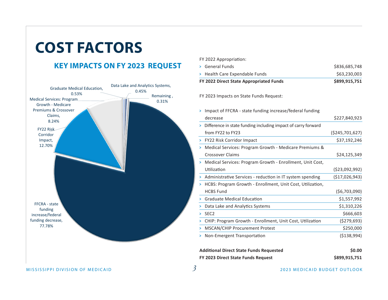## **COST FACTORS**

### **KEY IMPACTS ON FY 2023 REQUEST**



| FY 2022 Appropriation:         |               |
|--------------------------------|---------------|
| > General Funds                | \$836,685,748 |
| > Health Care Expendable Funds | \$63,230,003  |

| FY 2022 Direct State Appropriated Funds | \$899,915,751 |
|-----------------------------------------|---------------|
|-----------------------------------------|---------------|

FY 2023 Impacts on State Funds Request:

| decrease                                                        | \$227,840,923      |
|-----------------------------------------------------------------|--------------------|
| > Difference in state funding including impact of carry forward |                    |
| from FY22 to FY23                                               | ( \$245, 701, 627) |
| <b>FY22 Risk Corridor Impact</b>                                | \$37,192,246       |
| Medical Services: Program Growth - Medicare Premiums &          |                    |
| Crossover Claims                                                | \$24,125,349       |
| > Medical Services: Program Growth - Enrollment, Unit Cost,     |                    |
| Utilization                                                     | (\$23,092,992)     |
| > Administrative Services - reduction in IT system spending     | ( \$17,026,943)    |
| HCBS: Program Growth - Enrollment, Unit Cost, Utilization,      |                    |
| <b>HCBS Fund</b>                                                | (\$6,703,090)      |
| <b>Graduate Medical Education</b>                               | \$1,557,992        |
| Data Lake and Analytics Systems                                 | \$1,310,226        |
| SEC <sub>2</sub>                                                | \$666,603          |
| CHIP: Program Growth - Enrollment, Unit Cost, Utilization       | (\$279,693)        |
| <b>MSCAN/CHIP Procurement Protest</b>                           | \$250,000          |
| Non-Emergent Transportation                                     | (\$138,994)        |
|                                                                 |                    |

| <b>Additional Direct State Funds Requested</b> | \$0.00        |
|------------------------------------------------|---------------|
| FY 2023 Direct State Funds Request             | \$899,915,751 |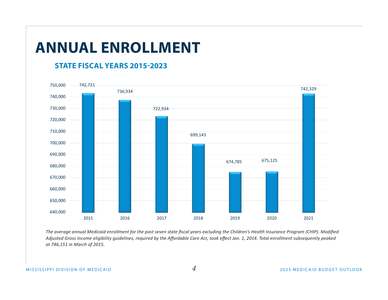### **ANNUAL ENROLLMENT**

#### **STATE FISCAL YEARS 2015-2023**



*The average annual Medicaid enrollment for the past seven state fiscal years excluding the Children's Health Insurance Program (CHIP). Modified Adjusted Gross Income eligibility guidelines, required by the Affordable Care Act, took effect Jan. 1, 2014. Total enrollment subsequently peaked at 746,151 in March of 2015.*